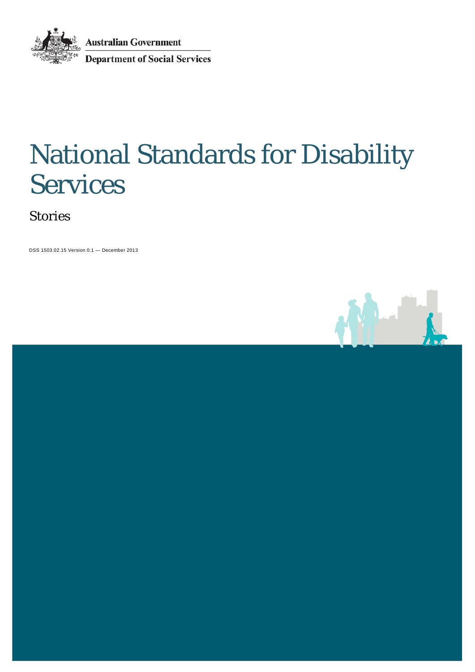**Australian Government** Department of Social Services

# National Standards for Disability Services

Stories

DSS 1503.02.15 Version 0.1 — December 2013

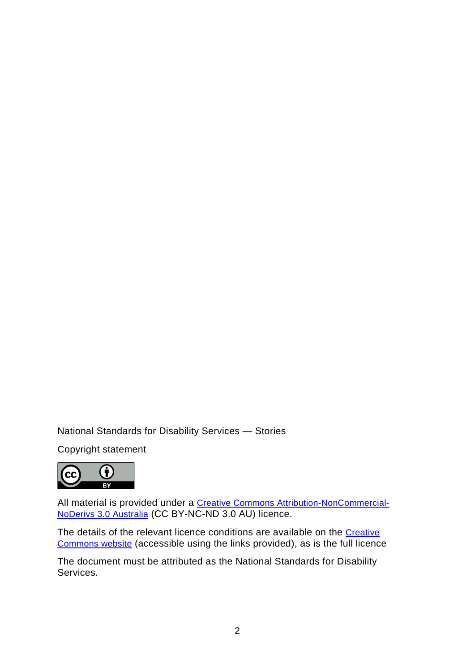National Standards for Disability Services — Stories

Copyright statement



All material is provided under a [Creative Commons Attribution-NonCommercial-](http://creativecommons.org/licenses/by-nc-nd/3.0/au)[NoDerivs 3.0 Australia](http://creativecommons.org/licenses/by-nc-nd/3.0/au) (CC BY-NC-ND 3.0 AU) licence.

The details of the relevant licence conditions are available on the Creative [Commons website](http://creativecommons.org/licenses/by-nc-nd/3.0/au/legalcode) (accessible using the links provided), as is the full licence

The document must be attributed as the National Standards for Disability Services.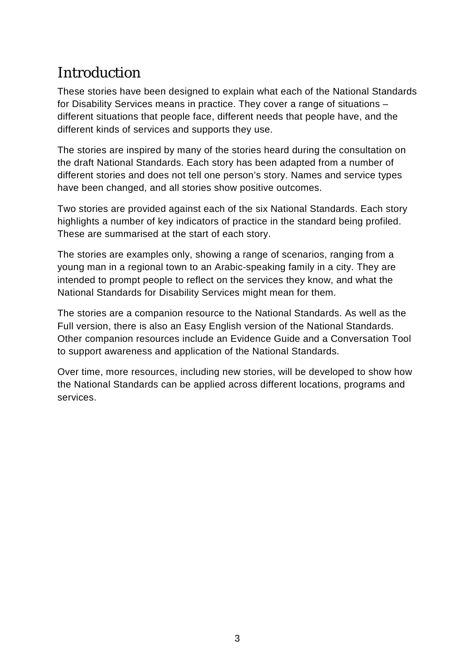## Introduction

These stories have been designed to explain what each of the National Standards for Disability Services means in practice. They cover a range of situations – different situations that people face, different needs that people have, and the different kinds of services and supports they use.

The stories are inspired by many of the stories heard during the consultation on the draft National Standards. Each story has been adapted from a number of different stories and does not tell one person's story. Names and service types have been changed, and all stories show positive outcomes.

Two stories are provided against each of the six National Standards. Each story highlights a number of key indicators of practice in the standard being profiled. These are summarised at the start of each story.

The stories are examples only, showing a range of scenarios, ranging from a young man in a regional town to an Arabic-speaking family in a city. They are intended to prompt people to reflect on the services they know, and what the National Standards for Disability Services might mean for them.

The stories are a companion resource to the National Standards. As well as the Full version, there is also an Easy English version of the National Standards. Other companion resources include an Evidence Guide and a Conversation Tool to support awareness and application of the National Standards.

Over time, more resources, including new stories, will be developed to show how the National Standards can be applied across different locations, programs and services.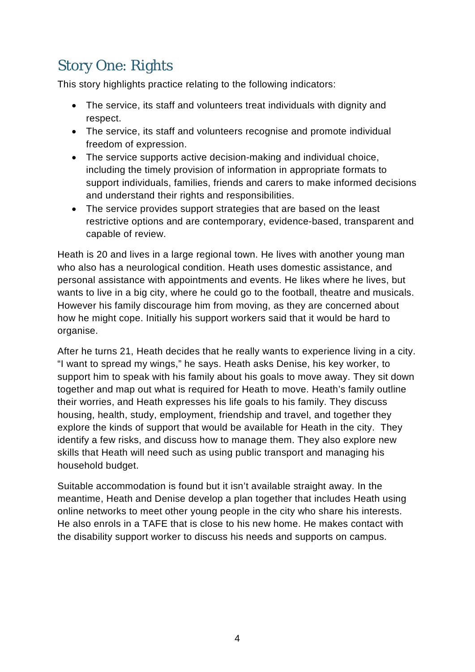# Story One: Rights

This story highlights practice relating to the following indicators:

- The service, its staff and volunteers treat individuals with dignity and respect.
- The service, its staff and volunteers recognise and promote individual freedom of expression.
- The service supports active decision-making and individual choice, including the timely provision of information in appropriate formats to support individuals, families, friends and carers to make informed decisions and understand their rights and responsibilities.
- The service provides support strategies that are based on the least restrictive options and are contemporary, evidence-based, transparent and capable of review.

Heath is 20 and lives in a large regional town. He lives with another young man who also has a neurological condition. Heath uses domestic assistance, and personal assistance with appointments and events. He likes where he lives, but wants to live in a big city, where he could go to the football, theatre and musicals. However his family discourage him from moving, as they are concerned about how he might cope. Initially his support workers said that it would be hard to organise.

After he turns 21, Heath decides that he really wants to experience living in a city. "I want to spread my wings," he says. Heath asks Denise, his key worker, to support him to speak with his family about his goals to move away. They sit down together and map out what is required for Heath to move. Heath's family outline their worries, and Heath expresses his life goals to his family. They discuss housing, health, study, employment, friendship and travel, and together they explore the kinds of support that would be available for Heath in the city. They identify a few risks, and discuss how to manage them. They also explore new skills that Heath will need such as using public transport and managing his household budget.

Suitable accommodation is found but it isn't available straight away. In the meantime, Heath and Denise develop a plan together that includes Heath using online networks to meet other young people in the city who share his interests. He also enrols in a TAFE that is close to his new home. He makes contact with the disability support worker to discuss his needs and supports on campus.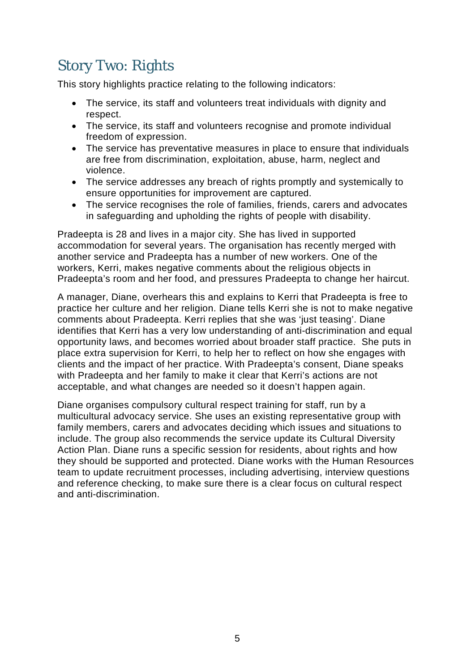# Story Two: Rights

This story highlights practice relating to the following indicators:

- The service, its staff and volunteers treat individuals with dignity and respect.
- The service, its staff and volunteers recognise and promote individual freedom of expression.
- The service has preventative measures in place to ensure that individuals are free from discrimination, exploitation, abuse, harm, neglect and violence.
- The service addresses any breach of rights promptly and systemically to ensure opportunities for improvement are captured.
- The service recognises the role of families, friends, carers and advocates in safeguarding and upholding the rights of people with disability.

Pradeepta is 28 and lives in a major city. She has lived in supported accommodation for several years. The organisation has recently merged with another service and Pradeepta has a number of new workers. One of the workers, Kerri, makes negative comments about the religious objects in Pradeepta's room and her food, and pressures Pradeepta to change her haircut.

A manager, Diane, overhears this and explains to Kerri that Pradeepta is free to practice her culture and her religion. Diane tells Kerri she is not to make negative comments about Pradeepta. Kerri replies that she was 'just teasing'. Diane identifies that Kerri has a very low understanding of anti-discrimination and equal opportunity laws, and becomes worried about broader staff practice. She puts in place extra supervision for Kerri, to help her to reflect on how she engages with clients and the impact of her practice. With Pradeepta's consent, Diane speaks with Pradeepta and her family to make it clear that Kerri's actions are not acceptable, and what changes are needed so it doesn't happen again.

Diane organises compulsory cultural respect training for staff, run by a multicultural advocacy service. She uses an existing representative group with family members, carers and advocates deciding which issues and situations to include. The group also recommends the service update its Cultural Diversity Action Plan. Diane runs a specific session for residents, about rights and how they should be supported and protected. Diane works with the Human Resources team to update recruitment processes, including advertising, interview questions and reference checking, to make sure there is a clear focus on cultural respect and anti-discrimination.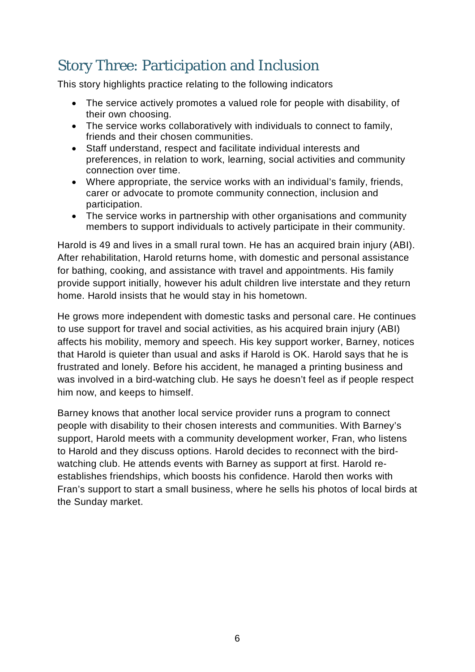#### Story Three: Participation and Inclusion

This story highlights practice relating to the following indicators

- The service actively promotes a valued role for people with disability, of their own choosing.
- The service works collaboratively with individuals to connect to family, friends and their chosen communities.
- Staff understand, respect and facilitate individual interests and preferences, in relation to work, learning, social activities and community connection over time.
- Where appropriate, the service works with an individual's family, friends, carer or advocate to promote community connection, inclusion and participation.
- The service works in partnership with other organisations and community members to support individuals to actively participate in their community.

Harold is 49 and lives in a small rural town. He has an acquired brain injury (ABI). After rehabilitation, Harold returns home, with domestic and personal assistance for bathing, cooking, and assistance with travel and appointments. His family provide support initially, however his adult children live interstate and they return home. Harold insists that he would stay in his hometown.

He grows more independent with domestic tasks and personal care. He continues to use support for travel and social activities, as his acquired brain injury (ABI) affects his mobility, memory and speech. His key support worker, Barney, notices that Harold is quieter than usual and asks if Harold is OK. Harold says that he is frustrated and lonely. Before his accident, he managed a printing business and was involved in a bird-watching club. He says he doesn't feel as if people respect him now, and keeps to himself.

Barney knows that another local service provider runs a program to connect people with disability to their chosen interests and communities. With Barney's support, Harold meets with a community development worker, Fran, who listens to Harold and they discuss options. Harold decides to reconnect with the birdwatching club. He attends events with Barney as support at first. Harold reestablishes friendships, which boosts his confidence. Harold then works with Fran's support to start a small business, where he sells his photos of local birds at the Sunday market.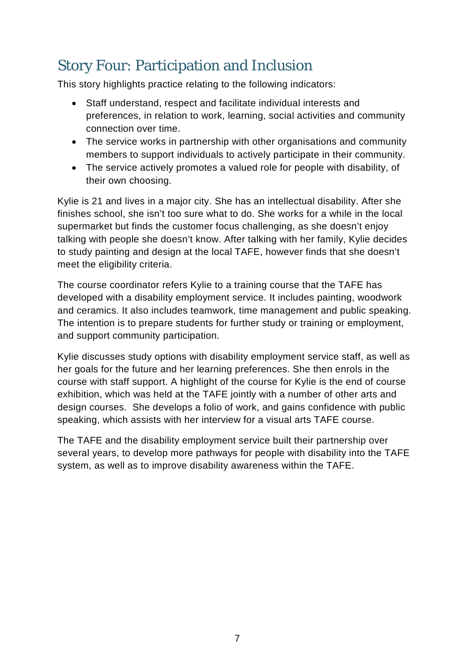## Story Four: Participation and Inclusion

This story highlights practice relating to the following indicators:

- Staff understand, respect and facilitate individual interests and preferences, in relation to work, learning, social activities and community connection over time.
- The service works in partnership with other organisations and community members to support individuals to actively participate in their community.
- The service actively promotes a valued role for people with disability, of their own choosing.

Kylie is 21 and lives in a major city. She has an intellectual disability. After she finishes school, she isn't too sure what to do. She works for a while in the local supermarket but finds the customer focus challenging, as she doesn't enjoy talking with people she doesn't know. After talking with her family, Kylie decides to study painting and design at the local TAFE, however finds that she doesn't meet the eligibility criteria.

The course coordinator refers Kylie to a training course that the TAFE has developed with a disability employment service. It includes painting, woodwork and ceramics. It also includes teamwork, time management and public speaking. The intention is to prepare students for further study or training or employment, and support community participation.

Kylie discusses study options with disability employment service staff, as well as her goals for the future and her learning preferences. She then enrols in the course with staff support. A highlight of the course for Kylie is the end of course exhibition, which was held at the TAFE jointly with a number of other arts and design courses. She develops a folio of work, and gains confidence with public speaking, which assists with her interview for a visual arts TAFE course.

The TAFE and the disability employment service built their partnership over several years, to develop more pathways for people with disability into the TAFE system, as well as to improve disability awareness within the TAFE.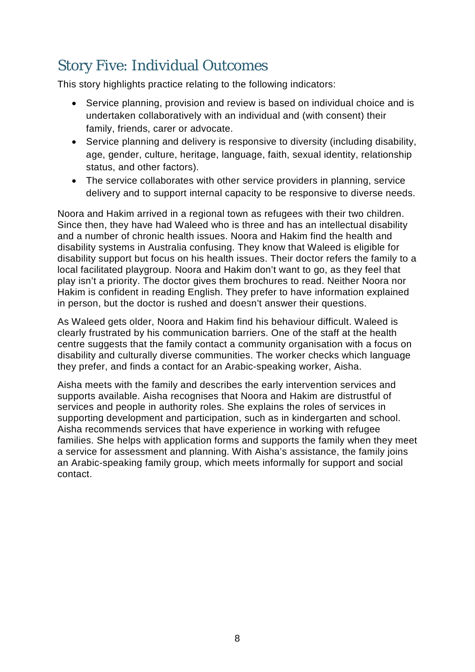# Story Five: Individual Outcomes

This story highlights practice relating to the following indicators:

- Service planning, provision and review is based on individual choice and is undertaken collaboratively with an individual and (with consent) their family, friends, carer or advocate.
- Service planning and delivery is responsive to diversity (including disability, age, gender, culture, heritage, language, faith, sexual identity, relationship status, and other factors).
- The service collaborates with other service providers in planning, service delivery and to support internal capacity to be responsive to diverse needs.

Noora and Hakim arrived in a regional town as refugees with their two children. Since then, they have had Waleed who is three and has an intellectual disability and a number of chronic health issues. Noora and Hakim find the health and disability systems in Australia confusing. They know that Waleed is eligible for disability support but focus on his health issues. Their doctor refers the family to a local facilitated playgroup. Noora and Hakim don't want to go, as they feel that play isn't a priority. The doctor gives them brochures to read. Neither Noora nor Hakim is confident in reading English. They prefer to have information explained in person, but the doctor is rushed and doesn't answer their questions.

As Waleed gets older, Noora and Hakim find his behaviour difficult. Waleed is clearly frustrated by his communication barriers. One of the staff at the health centre suggests that the family contact a community organisation with a focus on disability and culturally diverse communities. The worker checks which language they prefer, and finds a contact for an Arabic-speaking worker, Aisha.

Aisha meets with the family and describes the early intervention services and supports available. Aisha recognises that Noora and Hakim are distrustful of services and people in authority roles. She explains the roles of services in supporting development and participation, such as in kindergarten and school. Aisha recommends services that have experience in working with refugee families. She helps with application forms and supports the family when they meet a service for assessment and planning. With Aisha's assistance, the family joins an Arabic-speaking family group, which meets informally for support and social contact.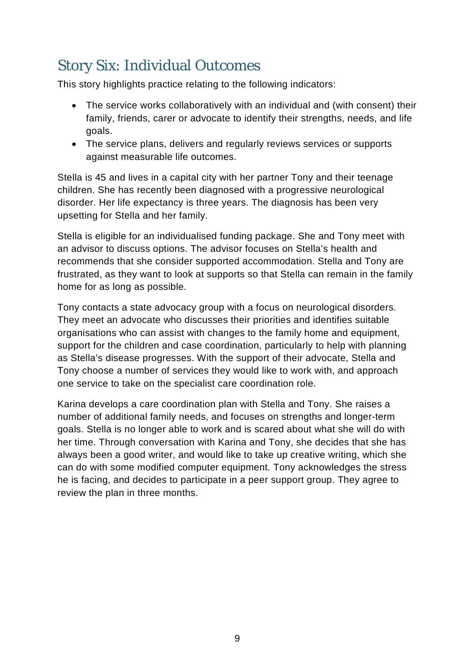## Story Six: Individual Outcomes

This story highlights practice relating to the following indicators:

- The service works collaboratively with an individual and (with consent) their family, friends, carer or advocate to identify their strengths, needs, and life goals.
- The service plans, delivers and regularly reviews services or supports against measurable life outcomes.

Stella is 45 and lives in a capital city with her partner Tony and their teenage children. She has recently been diagnosed with a progressive neurological disorder. Her life expectancy is three years. The diagnosis has been very upsetting for Stella and her family.

Stella is eligible for an individualised funding package. She and Tony meet with an advisor to discuss options. The advisor focuses on Stella's health and recommends that she consider supported accommodation. Stella and Tony are frustrated, as they want to look at supports so that Stella can remain in the family home for as long as possible.

Tony contacts a state advocacy group with a focus on neurological disorders. They meet an advocate who discusses their priorities and identifies suitable organisations who can assist with changes to the family home and equipment, support for the children and case coordination, particularly to help with planning as Stella's disease progresses. With the support of their advocate, Stella and Tony choose a number of services they would like to work with, and approach one service to take on the specialist care coordination role.

Karina develops a care coordination plan with Stella and Tony. She raises a number of additional family needs, and focuses on strengths and longer-term goals. Stella is no longer able to work and is scared about what she will do with her time. Through conversation with Karina and Tony, she decides that she has always been a good writer, and would like to take up creative writing, which she can do with some modified computer equipment. Tony acknowledges the stress he is facing, and decides to participate in a peer support group. They agree to review the plan in three months.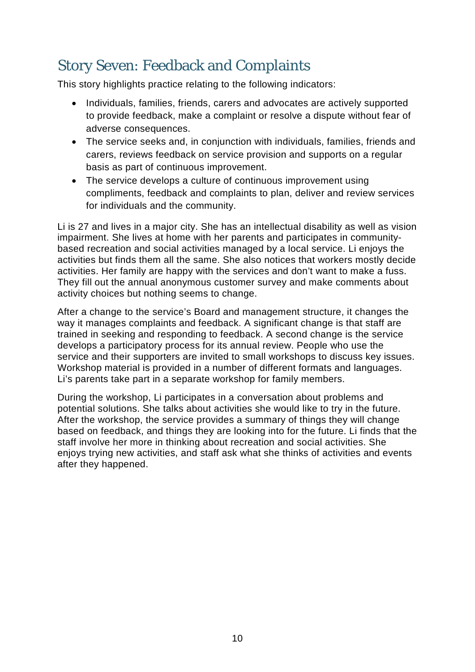## Story Seven: Feedback and Complaints

This story highlights practice relating to the following indicators:

- Individuals, families, friends, carers and advocates are actively supported to provide feedback, make a complaint or resolve a dispute without fear of adverse consequences.
- The service seeks and, in conjunction with individuals, families, friends and carers, reviews feedback on service provision and supports on a regular basis as part of continuous improvement.
- The service develops a culture of continuous improvement using compliments, feedback and complaints to plan, deliver and review services for individuals and the community.

Li is 27 and lives in a major city. She has an intellectual disability as well as vision impairment. She lives at home with her parents and participates in communitybased recreation and social activities managed by a local service. Li enjoys the activities but finds them all the same. She also notices that workers mostly decide activities. Her family are happy with the services and don't want to make a fuss. They fill out the annual anonymous customer survey and make comments about activity choices but nothing seems to change.

After a change to the service's Board and management structure, it changes the way it manages complaints and feedback. A significant change is that staff are trained in seeking and responding to feedback. A second change is the service develops a participatory process for its annual review. People who use the service and their supporters are invited to small workshops to discuss key issues. Workshop material is provided in a number of different formats and languages. Li's parents take part in a separate workshop for family members.

During the workshop, Li participates in a conversation about problems and potential solutions. She talks about activities she would like to try in the future. After the workshop, the service provides a summary of things they will change based on feedback, and things they are looking into for the future. Li finds that the staff involve her more in thinking about recreation and social activities. She enjoys trying new activities, and staff ask what she thinks of activities and events after they happened.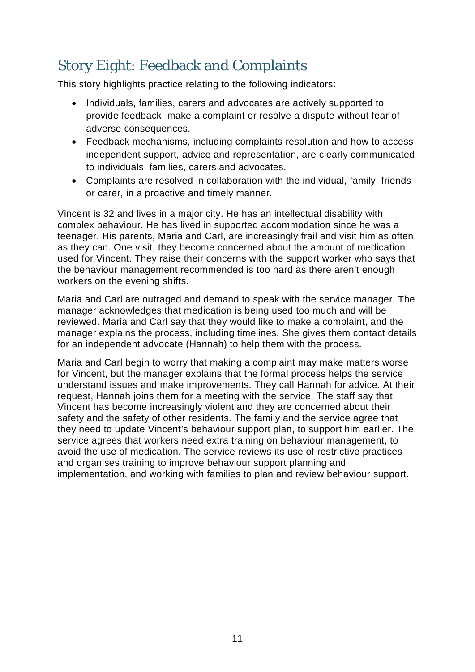# Story Eight: Feedback and Complaints

This story highlights practice relating to the following indicators:

- Individuals, families, carers and advocates are actively supported to provide feedback, make a complaint or resolve a dispute without fear of adverse consequences.
- Feedback mechanisms, including complaints resolution and how to access independent support, advice and representation, are clearly communicated to individuals, families, carers and advocates.
- Complaints are resolved in collaboration with the individual, family, friends or carer, in a proactive and timely manner.

Vincent is 32 and lives in a major city. He has an intellectual disability with complex behaviour. He has lived in supported accommodation since he was a teenager. His parents, Maria and Carl, are increasingly frail and visit him as often as they can. One visit, they become concerned about the amount of medication used for Vincent. They raise their concerns with the support worker who says that the behaviour management recommended is too hard as there aren't enough workers on the evening shifts.

Maria and Carl are outraged and demand to speak with the service manager. The manager acknowledges that medication is being used too much and will be reviewed. Maria and Carl say that they would like to make a complaint, and the manager explains the process, including timelines. She gives them contact details for an independent advocate (Hannah) to help them with the process.

Maria and Carl begin to worry that making a complaint may make matters worse for Vincent, but the manager explains that the formal process helps the service understand issues and make improvements. They call Hannah for advice. At their request, Hannah joins them for a meeting with the service. The staff say that Vincent has become increasingly violent and they are concerned about their safety and the safety of other residents. The family and the service agree that they need to update Vincent's behaviour support plan, to support him earlier. The service agrees that workers need extra training on behaviour management, to avoid the use of medication. The service reviews its use of restrictive practices and organises training to improve behaviour support planning and implementation, and working with families to plan and review behaviour support.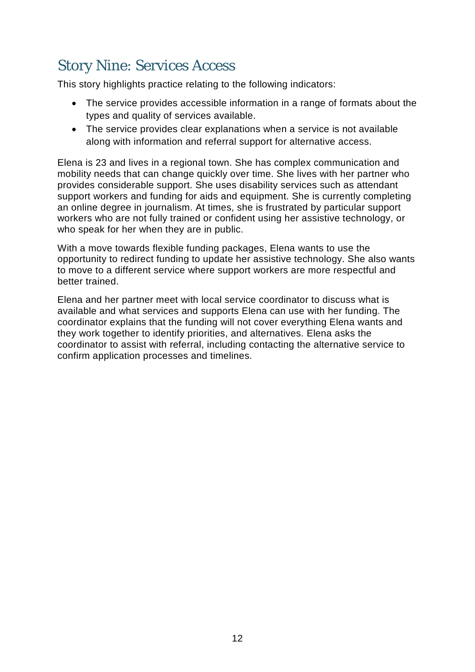#### Story Nine: Services Access

This story highlights practice relating to the following indicators:

- The service provides accessible information in a range of formats about the types and quality of services available.
- The service provides clear explanations when a service is not available along with information and referral support for alternative access.

Elena is 23 and lives in a regional town. She has complex communication and mobility needs that can change quickly over time. She lives with her partner who provides considerable support. She uses disability services such as attendant support workers and funding for aids and equipment. She is currently completing an online degree in journalism. At times, she is frustrated by particular support workers who are not fully trained or confident using her assistive technology, or who speak for her when they are in public.

With a move towards flexible funding packages, Elena wants to use the opportunity to redirect funding to update her assistive technology. She also wants to move to a different service where support workers are more respectful and better trained.

Elena and her partner meet with local service coordinator to discuss what is available and what services and supports Elena can use with her funding. The coordinator explains that the funding will not cover everything Elena wants and they work together to identify priorities, and alternatives. Elena asks the coordinator to assist with referral, including contacting the alternative service to confirm application processes and timelines.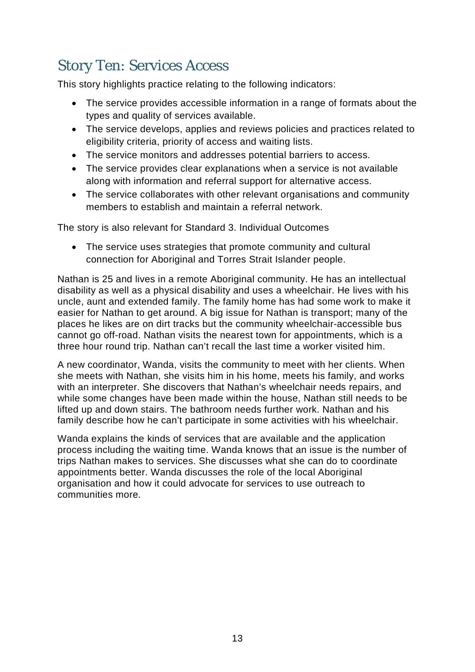## Story Ten: Services Access

This story highlights practice relating to the following indicators:

- The service provides accessible information in a range of formats about the types and quality of services available.
- The service develops, applies and reviews policies and practices related to eligibility criteria, priority of access and waiting lists.
- The service monitors and addresses potential barriers to access.
- The service provides clear explanations when a service is not available along with information and referral support for alternative access.
- The service collaborates with other relevant organisations and community members to establish and maintain a referral network.

The story is also relevant for Standard 3. Individual Outcomes

• The service uses strategies that promote community and cultural connection for Aboriginal and Torres Strait Islander people.

Nathan is 25 and lives in a remote Aboriginal community. He has an intellectual disability as well as a physical disability and uses a wheelchair. He lives with his uncle, aunt and extended family. The family home has had some work to make it easier for Nathan to get around. A big issue for Nathan is transport; many of the places he likes are on dirt tracks but the community wheelchair-accessible bus cannot go off-road. Nathan visits the nearest town for appointments, which is a three hour round trip. Nathan can't recall the last time a worker visited him.

A new coordinator, Wanda, visits the community to meet with her clients. When she meets with Nathan, she visits him in his home, meets his family, and works with an interpreter. She discovers that Nathan's wheelchair needs repairs, and while some changes have been made within the house, Nathan still needs to be lifted up and down stairs. The bathroom needs further work. Nathan and his family describe how he can't participate in some activities with his wheelchair.

Wanda explains the kinds of services that are available and the application process including the waiting time. Wanda knows that an issue is the number of trips Nathan makes to services. She discusses what she can do to coordinate appointments better. Wanda discusses the role of the local Aboriginal organisation and how it could advocate for services to use outreach to communities more.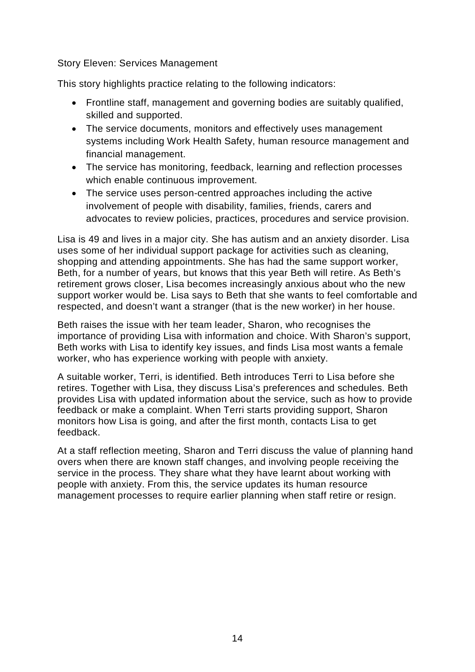Story Eleven: Services Management

This story highlights practice relating to the following indicators:

- Frontline staff, management and governing bodies are suitably qualified, skilled and supported.
- The service documents, monitors and effectively uses management systems including Work Health Safety, human resource management and financial management.
- The service has monitoring, feedback, learning and reflection processes which enable continuous improvement.
- The service uses person-centred approaches including the active involvement of people with disability, families, friends, carers and advocates to review policies, practices, procedures and service provision.

Lisa is 49 and lives in a major city. She has autism and an anxiety disorder. Lisa uses some of her individual support package for activities such as cleaning, shopping and attending appointments. She has had the same support worker, Beth, for a number of years, but knows that this year Beth will retire. As Beth's retirement grows closer, Lisa becomes increasingly anxious about who the new support worker would be. Lisa says to Beth that she wants to feel comfortable and respected, and doesn't want a stranger (that is the new worker) in her house.

Beth raises the issue with her team leader, Sharon, who recognises the importance of providing Lisa with information and choice. With Sharon's support, Beth works with Lisa to identify key issues, and finds Lisa most wants a female worker, who has experience working with people with anxiety.

A suitable worker, Terri, is identified. Beth introduces Terri to Lisa before she retires. Together with Lisa, they discuss Lisa's preferences and schedules. Beth provides Lisa with updated information about the service, such as how to provide feedback or make a complaint. When Terri starts providing support, Sharon monitors how Lisa is going, and after the first month, contacts Lisa to get feedback.

At a staff reflection meeting, Sharon and Terri discuss the value of planning hand overs when there are known staff changes, and involving people receiving the service in the process. They share what they have learnt about working with people with anxiety. From this, the service updates its human resource management processes to require earlier planning when staff retire or resign.